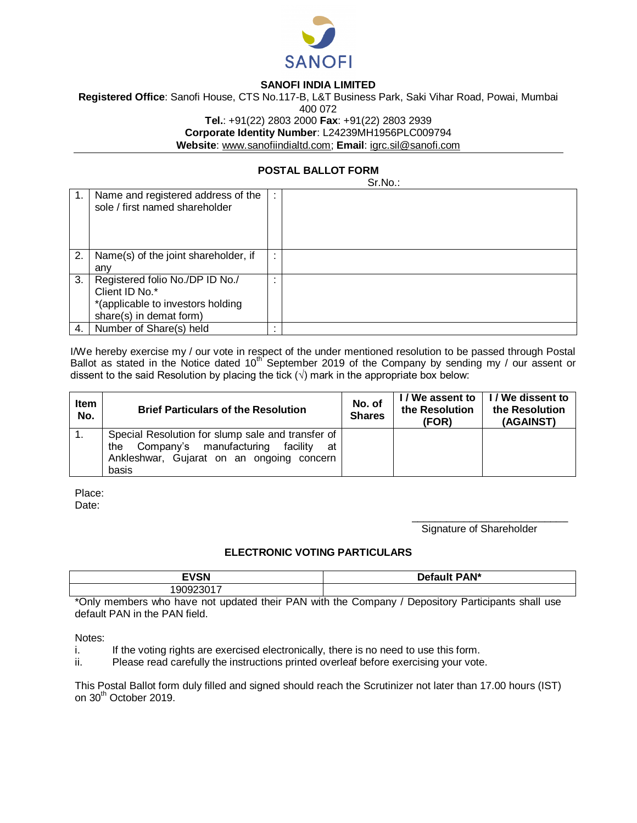

## **SANOFI INDIA LIMITED**

**Registered Office**: Sanofi House, CTS No.117-B, L&T Business Park, Saki Vihar Road, Powai, Mumbai 400 072 **Tel.**: +91(22) 2803 2000 **Fax**: +91(22) 2803 2939 **Corporate Identity Number**: L24239MH1956PLC009794 **Website**: www.sanofiindialtd.com; **Email**: igrc.sil@sanofi.com

## **POSTAL BALLOT FORM**

Sr.No.:

|    |                                                                      |                      | ------ |
|----|----------------------------------------------------------------------|----------------------|--------|
|    | Name and registered address of the<br>sole / first named shareholder | ÷                    |        |
| 2. | Name(s) of the joint shareholder, if                                 | ٠.<br>$\overline{a}$ |        |
|    | any                                                                  |                      |        |
| 3. | Registered folio No./DP ID No./                                      | $\cdot$              |        |
|    | Client ID No.*                                                       |                      |        |
|    | *(applicable to investors holding                                    |                      |        |
|    | share(s) in demat form)                                              |                      |        |
| 4. | Number of Share(s) held                                              |                      |        |

I/We hereby exercise my / our vote in respect of the under mentioned resolution to be passed through Postal Ballot as stated in the Notice dated 10<sup>th</sup> September 2019 of the Company by sending my / our assent or dissent to the said Resolution by placing the tick  $(\sqrt{})$  mark in the appropriate box below:

| Item<br>No. | <b>Brief Particulars of the Resolution</b>                                                                                                                  | No. of<br><b>Shares</b> | I / We assent to<br>the Resolution<br>(FOR) | I / We dissent to<br>the Resolution<br>(AGAINST) |
|-------------|-------------------------------------------------------------------------------------------------------------------------------------------------------------|-------------------------|---------------------------------------------|--------------------------------------------------|
|             | Special Resolution for slump sale and transfer of<br>Company's manufacturing<br>facilitv<br>the<br>at<br>Ankleshwar, Gujarat on an ongoing concern<br>basis |                         |                                             |                                                  |

Place: Date:

Signature of Shareholder

\_\_\_\_\_\_\_\_\_\_\_\_\_\_\_\_\_\_\_\_\_\_\_\_\_\_\_

## **ELECTRONIC VOTING PARTICULARS**

| <b>EVCNI</b><br>צוכ<br>-       | PAN*<br>Defau |
|--------------------------------|---------------|
| $\overline{\phantom{a}}$<br>שו |               |

\*Only members who have not updated their PAN with the Company / Depository Participants shall use default PAN in the PAN field.

Notes:

i. If the voting rights are exercised electronically, there is no need to use this form.

ii. Please read carefully the instructions printed overleaf before exercising your vote.

This Postal Ballot form duly filled and signed should reach the Scrutinizer not later than 17.00 hours (IST) on 30<sup>th</sup> October 2019.